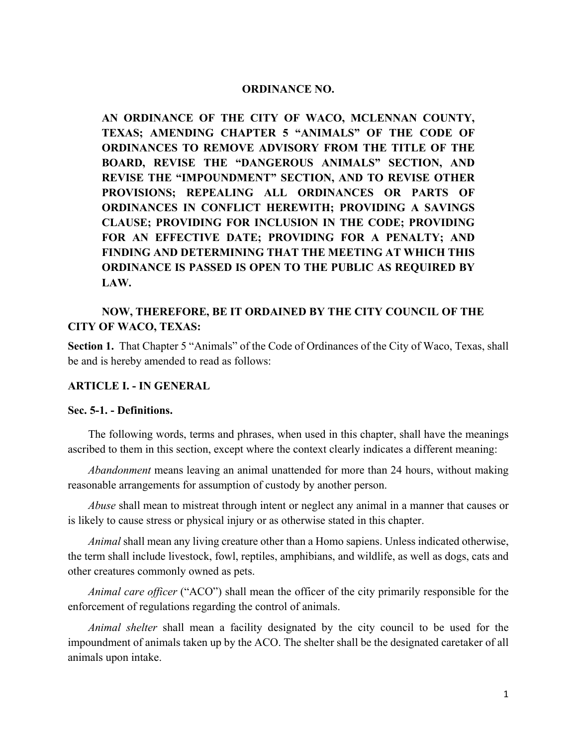#### **ORDINANCE NO.**

**AN ORDINANCE OF THE CITY OF WACO, MCLENNAN COUNTY, TEXAS; AMENDING CHAPTER 5 "ANIMALS" OF THE CODE OF ORDINANCES TO REMOVE ADVISORY FROM THE TITLE OF THE BOARD, REVISE THE "DANGEROUS ANIMALS" SECTION, AND REVISE THE "IMPOUNDMENT" SECTION, AND TO REVISE OTHER PROVISIONS; REPEALING ALL ORDINANCES OR PARTS OF ORDINANCES IN CONFLICT HEREWITH; PROVIDING A SAVINGS CLAUSE; PROVIDING FOR INCLUSION IN THE CODE; PROVIDING FOR AN EFFECTIVE DATE; PROVIDING FOR A PENALTY; AND FINDING AND DETERMINING THAT THE MEETING AT WHICH THIS ORDINANCE IS PASSED IS OPEN TO THE PUBLIC AS REQUIRED BY LAW.**

# **NOW, THEREFORE, BE IT ORDAINED BY THE CITY COUNCIL OF THE CITY OF WACO, TEXAS:**

**Section 1.** That Chapter 5 "Animals" of the Code of Ordinances of the City of Waco, Texas, shall be and is hereby amended to read as follows:

#### **ARTICLE I. - IN GENERAL**

### **Sec. 5-1. - Definitions.**

The following words, terms and phrases, when used in this chapter, shall have the meanings ascribed to them in this section, except where the context clearly indicates a different meaning:

*Abandonment* means leaving an animal unattended for more than 24 hours, without making reasonable arrangements for assumption of custody by another person.

*Abuse* shall mean to mistreat through intent or neglect any animal in a manner that causes or is likely to cause stress or physical injury or as otherwise stated in this chapter.

*Animal* shall mean any living creature other than a Homo sapiens. Unless indicated otherwise, the term shall include livestock, fowl, reptiles, amphibians, and wildlife, as well as dogs, cats and other creatures commonly owned as pets.

*Animal care officer* ("ACO") shall mean the officer of the city primarily responsible for the enforcement of regulations regarding the control of animals.

*Animal shelter* shall mean a facility designated by the city council to be used for the impoundment of animals taken up by the ACO. The shelter shall be the designated caretaker of all animals upon intake.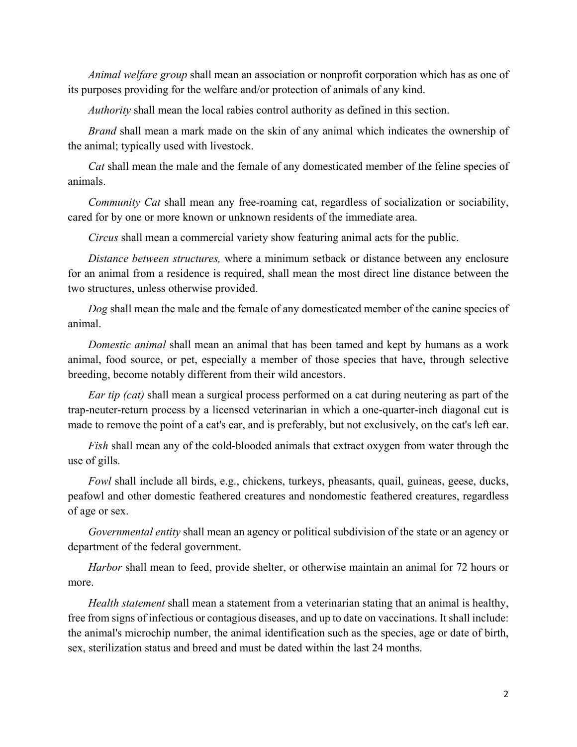*Animal welfare group* shall mean an association or nonprofit corporation which has as one of its purposes providing for the welfare and/or protection of animals of any kind.

*Authority* shall mean the local rabies control authority as defined in this section.

*Brand* shall mean a mark made on the skin of any animal which indicates the ownership of the animal; typically used with livestock.

*Cat* shall mean the male and the female of any domesticated member of the feline species of animals.

*Community Cat* shall mean any free-roaming cat, regardless of socialization or sociability, cared for by one or more known or unknown residents of the immediate area.

*Circus* shall mean a commercial variety show featuring animal acts for the public.

*Distance between structures,* where a minimum setback or distance between any enclosure for an animal from a residence is required, shall mean the most direct line distance between the two structures, unless otherwise provided.

*Dog* shall mean the male and the female of any domesticated member of the canine species of animal.

*Domestic animal* shall mean an animal that has been tamed and kept by humans as a work animal, food source, or pet, especially a member of those species that have, through selective breeding, become notably different from their wild ancestors.

*Ear tip (cat)* shall mean a surgical process performed on a cat during neutering as part of the trap-neuter-return process by a licensed veterinarian in which a one-quarter-inch diagonal cut is made to remove the point of a cat's ear, and is preferably, but not exclusively, on the cat's left ear.

*Fish* shall mean any of the cold-blooded animals that extract oxygen from water through the use of gills.

*Fowl* shall include all birds, e.g., chickens, turkeys, pheasants, quail, guineas, geese, ducks, peafowl and other domestic feathered creatures and nondomestic feathered creatures, regardless of age or sex.

*Governmental entity* shall mean an agency or political subdivision of the state or an agency or department of the federal government.

*Harbor* shall mean to feed, provide shelter, or otherwise maintain an animal for 72 hours or more.

*Health statement* shall mean a statement from a veterinarian stating that an animal is healthy, free from signs of infectious or contagious diseases, and up to date on vaccinations. It shall include: the animal's microchip number, the animal identification such as the species, age or date of birth, sex, sterilization status and breed and must be dated within the last 24 months.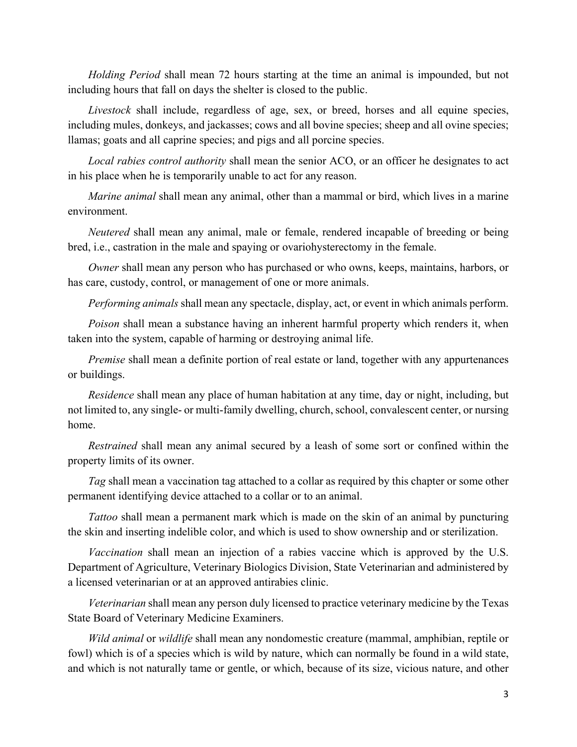*Holding Period* shall mean 72 hours starting at the time an animal is impounded, but not including hours that fall on days the shelter is closed to the public.

*Livestock* shall include, regardless of age, sex, or breed, horses and all equine species, including mules, donkeys, and jackasses; cows and all bovine species; sheep and all ovine species; llamas; goats and all caprine species; and pigs and all porcine species.

*Local rabies control authority* shall mean the senior ACO, or an officer he designates to act in his place when he is temporarily unable to act for any reason.

*Marine animal* shall mean any animal, other than a mammal or bird, which lives in a marine environment.

*Neutered* shall mean any animal, male or female, rendered incapable of breeding or being bred, i.e., castration in the male and spaying or ovariohysterectomy in the female.

*Owner* shall mean any person who has purchased or who owns, keeps, maintains, harbors, or has care, custody, control, or management of one or more animals.

*Performing animals* shall mean any spectacle, display, act, or event in which animals perform.

*Poison* shall mean a substance having an inherent harmful property which renders it, when taken into the system, capable of harming or destroying animal life.

*Premise* shall mean a definite portion of real estate or land, together with any appurtenances or buildings.

*Residence* shall mean any place of human habitation at any time, day or night, including, but not limited to, any single- or multi-family dwelling, church, school, convalescent center, or nursing home.

*Restrained* shall mean any animal secured by a leash of some sort or confined within the property limits of its owner.

*Tag* shall mean a vaccination tag attached to a collar as required by this chapter or some other permanent identifying device attached to a collar or to an animal.

*Tattoo* shall mean a permanent mark which is made on the skin of an animal by puncturing the skin and inserting indelible color, and which is used to show ownership and or sterilization.

*Vaccination* shall mean an injection of a rabies vaccine which is approved by the U.S. Department of Agriculture, Veterinary Biologics Division, State Veterinarian and administered by a licensed veterinarian or at an approved antirabies clinic.

*Veterinarian* shall mean any person duly licensed to practice veterinary medicine by the Texas State Board of Veterinary Medicine Examiners.

*Wild animal* or *wildlife* shall mean any nondomestic creature (mammal, amphibian, reptile or fowl) which is of a species which is wild by nature, which can normally be found in a wild state, and which is not naturally tame or gentle, or which, because of its size, vicious nature, and other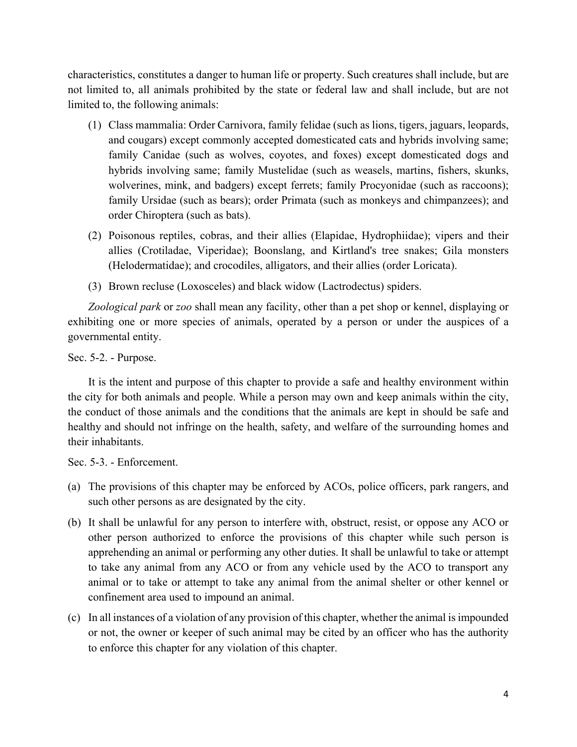characteristics, constitutes a danger to human life or property. Such creatures shall include, but are not limited to, all animals prohibited by the state or federal law and shall include, but are not limited to, the following animals:

- (1) Class mammalia: Order Carnivora, family felidae (such as lions, tigers, jaguars, leopards, and cougars) except commonly accepted domesticated cats and hybrids involving same; family Canidae (such as wolves, coyotes, and foxes) except domesticated dogs and hybrids involving same; family Mustelidae (such as weasels, martins, fishers, skunks, wolverines, mink, and badgers) except ferrets; family Procyonidae (such as raccoons); family Ursidae (such as bears); order Primata (such as monkeys and chimpanzees); and order Chiroptera (such as bats).
- (2) Poisonous reptiles, cobras, and their allies (Elapidae, Hydrophiidae); vipers and their allies (Crotiladae, Viperidae); Boonslang, and Kirtland's tree snakes; Gila monsters (Helodermatidae); and crocodiles, alligators, and their allies (order Loricata).
- (3) Brown recluse (Loxosceles) and black widow (Lactrodectus) spiders.

*Zoological park* or *zoo* shall mean any facility, other than a pet shop or kennel, displaying or exhibiting one or more species of animals, operated by a person or under the auspices of a governmental entity.

Sec. 5-2. - Purpose.

It is the intent and purpose of this chapter to provide a safe and healthy environment within the city for both animals and people. While a person may own and keep animals within the city, the conduct of those animals and the conditions that the animals are kept in should be safe and healthy and should not infringe on the health, safety, and welfare of the surrounding homes and their inhabitants.

Sec. 5-3. - Enforcement.

- (a) The provisions of this chapter may be enforced by ACOs, police officers, park rangers, and such other persons as are designated by the city.
- (b) It shall be unlawful for any person to interfere with, obstruct, resist, or oppose any ACO or other person authorized to enforce the provisions of this chapter while such person is apprehending an animal or performing any other duties. It shall be unlawful to take or attempt to take any animal from any ACO or from any vehicle used by the ACO to transport any animal or to take or attempt to take any animal from the animal shelter or other kennel or confinement area used to impound an animal.
- (c) In all instances of a violation of any provision of this chapter, whether the animal is impounded or not, the owner or keeper of such animal may be cited by an officer who has the authority to enforce this chapter for any violation of this chapter.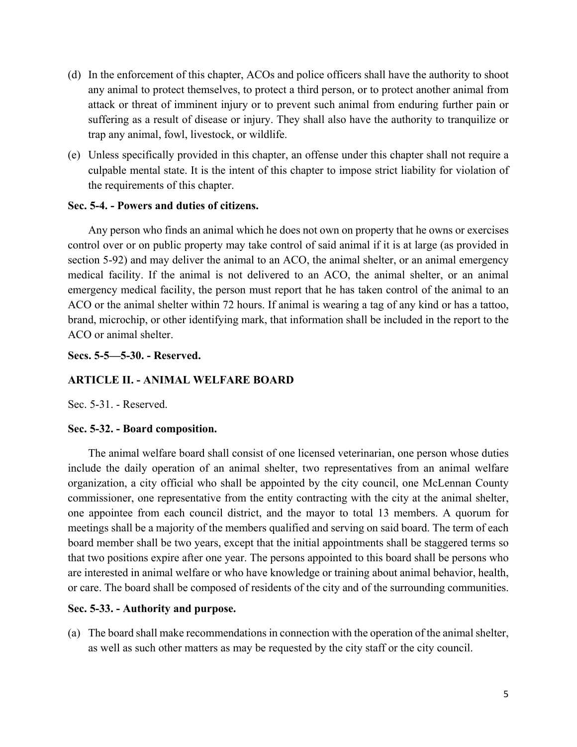- (d) In the enforcement of this chapter, ACOs and police officers shall have the authority to shoot any animal to protect themselves, to protect a third person, or to protect another animal from attack or threat of imminent injury or to prevent such animal from enduring further pain or suffering as a result of disease or injury. They shall also have the authority to tranquilize or trap any animal, fowl, livestock, or wildlife.
- (e) Unless specifically provided in this chapter, an offense under this chapter shall not require a culpable mental state. It is the intent of this chapter to impose strict liability for violation of the requirements of this chapter.

### **Sec. 5-4. - Powers and duties of citizens.**

Any person who finds an animal which he does not own on property that he owns or exercises control over or on public property may take control of said animal if it is at large (as provided in section 5-92) and may deliver the animal to an ACO, the animal shelter, or an animal emergency medical facility. If the animal is not delivered to an ACO, the animal shelter, or an animal emergency medical facility, the person must report that he has taken control of the animal to an ACO or the animal shelter within 72 hours. If animal is wearing a tag of any kind or has a tattoo, brand, microchip, or other identifying mark, that information shall be included in the report to the ACO or animal shelter.

**Secs. 5-5—5-30. - Reserved.** 

## **ARTICLE II. - ANIMAL WELFARE BOARD**

Sec. 5-31. - Reserved.

## **Sec. 5-32. - Board composition.**

The animal welfare board shall consist of one licensed veterinarian, one person whose duties include the daily operation of an animal shelter, two representatives from an animal welfare organization, a city official who shall be appointed by the city council, one McLennan County commissioner, one representative from the entity contracting with the city at the animal shelter, one appointee from each council district, and the mayor to total 13 members. A quorum for meetings shall be a majority of the members qualified and serving on said board. The term of each board member shall be two years, except that the initial appointments shall be staggered terms so that two positions expire after one year. The persons appointed to this board shall be persons who are interested in animal welfare or who have knowledge or training about animal behavior, health, or care. The board shall be composed of residents of the city and of the surrounding communities.

## **Sec. 5-33. - Authority and purpose.**

(a) The board shall make recommendations in connection with the operation of the animal shelter, as well as such other matters as may be requested by the city staff or the city council.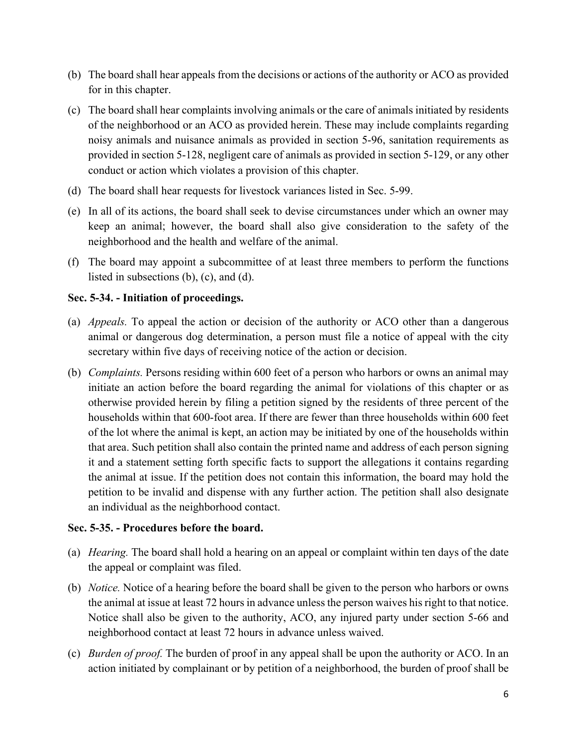- (b) The board shall hear appeals from the decisions or actions of the authority or ACO as provided for in this chapter.
- (c) The board shall hear complaints involving animals or the care of animals initiated by residents of the neighborhood or an ACO as provided herein. These may include complaints regarding noisy animals and nuisance animals as provided in section 5-96, sanitation requirements as provided in section 5-128, negligent care of animals as provided in section 5-129, or any other conduct or action which violates a provision of this chapter.
- (d) The board shall hear requests for livestock variances listed in Sec. 5-99.
- (e) In all of its actions, the board shall seek to devise circumstances under which an owner may keep an animal; however, the board shall also give consideration to the safety of the neighborhood and the health and welfare of the animal.
- (f) The board may appoint a subcommittee of at least three members to perform the functions listed in subsections (b), (c), and (d).

## **Sec. 5-34. - Initiation of proceedings.**

- (a) *Appeals.* To appeal the action or decision of the authority or ACO other than a dangerous animal or dangerous dog determination, a person must file a notice of appeal with the city secretary within five days of receiving notice of the action or decision.
- (b) *Complaints.* Persons residing within 600 feet of a person who harbors or owns an animal may initiate an action before the board regarding the animal for violations of this chapter or as otherwise provided herein by filing a petition signed by the residents of three percent of the households within that 600-foot area. If there are fewer than three households within 600 feet of the lot where the animal is kept, an action may be initiated by one of the households within that area. Such petition shall also contain the printed name and address of each person signing it and a statement setting forth specific facts to support the allegations it contains regarding the animal at issue. If the petition does not contain this information, the board may hold the petition to be invalid and dispense with any further action. The petition shall also designate an individual as the neighborhood contact.

## **Sec. 5-35. - Procedures before the board.**

- (a) *Hearing.* The board shall hold a hearing on an appeal or complaint within ten days of the date the appeal or complaint was filed.
- (b) *Notice.* Notice of a hearing before the board shall be given to the person who harbors or owns the animal at issue at least 72 hours in advance unless the person waives his right to that notice. Notice shall also be given to the authority, ACO, any injured party under section 5-66 and neighborhood contact at least 72 hours in advance unless waived.
- (c) *Burden of proof.* The burden of proof in any appeal shall be upon the authority or ACO. In an action initiated by complainant or by petition of a neighborhood, the burden of proof shall be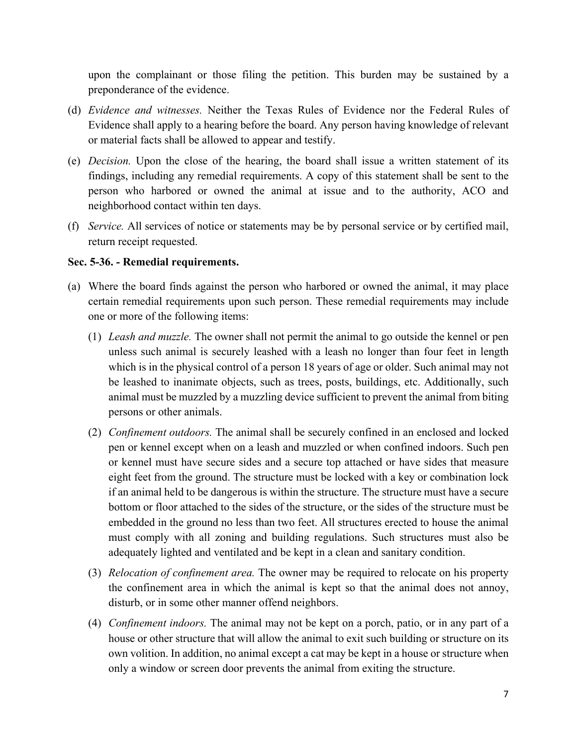upon the complainant or those filing the petition. This burden may be sustained by a preponderance of the evidence.

- (d) *Evidence and witnesses.* Neither the Texas Rules of Evidence nor the Federal Rules of Evidence shall apply to a hearing before the board. Any person having knowledge of relevant or material facts shall be allowed to appear and testify.
- (e) *Decision.* Upon the close of the hearing, the board shall issue a written statement of its findings, including any remedial requirements. A copy of this statement shall be sent to the person who harbored or owned the animal at issue and to the authority, ACO and neighborhood contact within ten days.
- (f) *Service.* All services of notice or statements may be by personal service or by certified mail, return receipt requested.

### **Sec. 5-36. - Remedial requirements.**

- (a) Where the board finds against the person who harbored or owned the animal, it may place certain remedial requirements upon such person. These remedial requirements may include one or more of the following items:
	- (1) *Leash and muzzle.* The owner shall not permit the animal to go outside the kennel or pen unless such animal is securely leashed with a leash no longer than four feet in length which is in the physical control of a person 18 years of age or older. Such animal may not be leashed to inanimate objects, such as trees, posts, buildings, etc. Additionally, such animal must be muzzled by a muzzling device sufficient to prevent the animal from biting persons or other animals.
	- (2) *Confinement outdoors.* The animal shall be securely confined in an enclosed and locked pen or kennel except when on a leash and muzzled or when confined indoors. Such pen or kennel must have secure sides and a secure top attached or have sides that measure eight feet from the ground. The structure must be locked with a key or combination lock if an animal held to be dangerous is within the structure. The structure must have a secure bottom or floor attached to the sides of the structure, or the sides of the structure must be embedded in the ground no less than two feet. All structures erected to house the animal must comply with all zoning and building regulations. Such structures must also be adequately lighted and ventilated and be kept in a clean and sanitary condition.
	- (3) *Relocation of confinement area.* The owner may be required to relocate on his property the confinement area in which the animal is kept so that the animal does not annoy, disturb, or in some other manner offend neighbors.
	- (4) *Confinement indoors.* The animal may not be kept on a porch, patio, or in any part of a house or other structure that will allow the animal to exit such building or structure on its own volition. In addition, no animal except a cat may be kept in a house or structure when only a window or screen door prevents the animal from exiting the structure.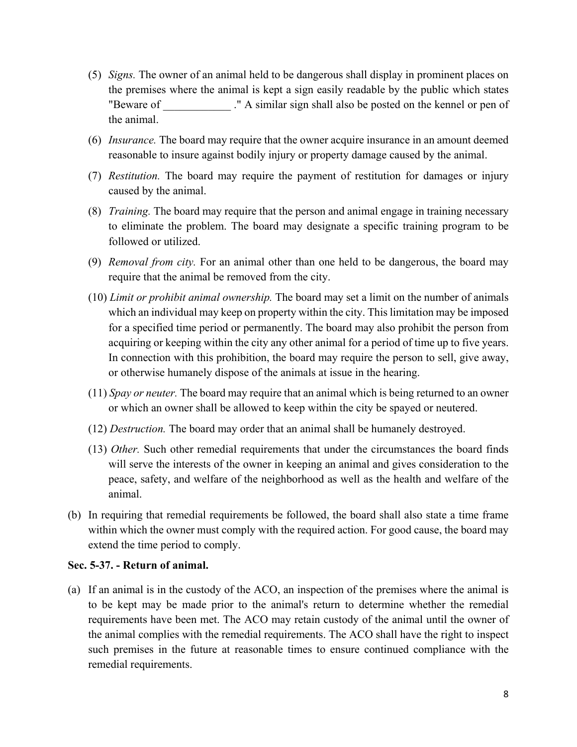- (5) *Signs.* The owner of an animal held to be dangerous shall display in prominent places on the premises where the animal is kept a sign easily readable by the public which states "Beware of " A similar sign shall also be posted on the kennel or pen of the animal.
- (6) *Insurance.* The board may require that the owner acquire insurance in an amount deemed reasonable to insure against bodily injury or property damage caused by the animal.
- (7) *Restitution.* The board may require the payment of restitution for damages or injury caused by the animal.
- (8) *Training.* The board may require that the person and animal engage in training necessary to eliminate the problem. The board may designate a specific training program to be followed or utilized.
- (9) *Removal from city.* For an animal other than one held to be dangerous, the board may require that the animal be removed from the city.
- (10) *Limit or prohibit animal ownership.* The board may set a limit on the number of animals which an individual may keep on property within the city. This limitation may be imposed for a specified time period or permanently. The board may also prohibit the person from acquiring or keeping within the city any other animal for a period of time up to five years. In connection with this prohibition, the board may require the person to sell, give away, or otherwise humanely dispose of the animals at issue in the hearing.
- (11) *Spay or neuter.* The board may require that an animal which is being returned to an owner or which an owner shall be allowed to keep within the city be spayed or neutered.
- (12) *Destruction.* The board may order that an animal shall be humanely destroyed.
- (13) *Other.* Such other remedial requirements that under the circumstances the board finds will serve the interests of the owner in keeping an animal and gives consideration to the peace, safety, and welfare of the neighborhood as well as the health and welfare of the animal.
- (b) In requiring that remedial requirements be followed, the board shall also state a time frame within which the owner must comply with the required action. For good cause, the board may extend the time period to comply.

#### **Sec. 5-37. - Return of animal.**

(a) If an animal is in the custody of the ACO, an inspection of the premises where the animal is to be kept may be made prior to the animal's return to determine whether the remedial requirements have been met. The ACO may retain custody of the animal until the owner of the animal complies with the remedial requirements. The ACO shall have the right to inspect such premises in the future at reasonable times to ensure continued compliance with the remedial requirements.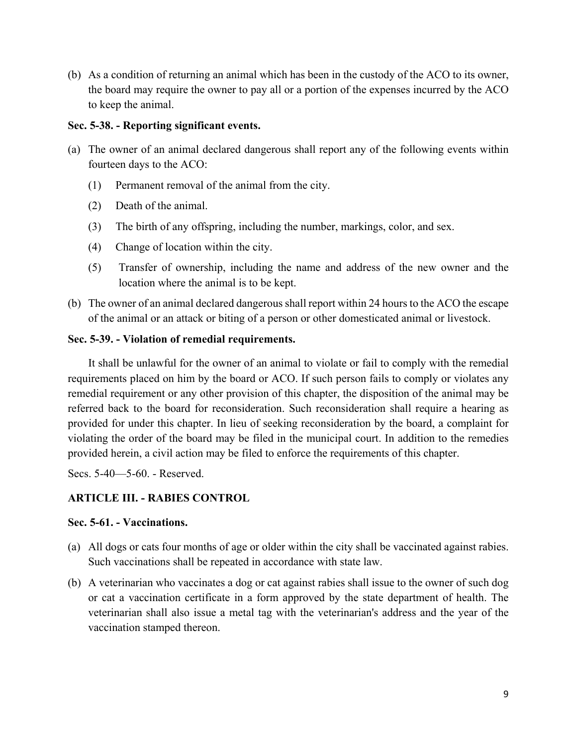(b) As a condition of returning an animal which has been in the custody of the ACO to its owner, the board may require the owner to pay all or a portion of the expenses incurred by the ACO to keep the animal.

### **Sec. 5-38. - Reporting significant events.**

- (a) The owner of an animal declared dangerous shall report any of the following events within fourteen days to the ACO:
	- (1) Permanent removal of the animal from the city.
	- (2) Death of the animal.
	- (3) The birth of any offspring, including the number, markings, color, and sex.
	- (4) Change of location within the city.
	- (5) Transfer of ownership, including the name and address of the new owner and the location where the animal is to be kept.
- (b) The owner of an animal declared dangerous shall report within 24 hours to the ACO the escape of the animal or an attack or biting of a person or other domesticated animal or livestock.

## **Sec. 5-39. - Violation of remedial requirements.**

It shall be unlawful for the owner of an animal to violate or fail to comply with the remedial requirements placed on him by the board or ACO. If such person fails to comply or violates any remedial requirement or any other provision of this chapter, the disposition of the animal may be referred back to the board for reconsideration. Such reconsideration shall require a hearing as provided for under this chapter. In lieu of seeking reconsideration by the board, a complaint for violating the order of the board may be filed in the municipal court. In addition to the remedies provided herein, a civil action may be filed to enforce the requirements of this chapter.

Secs. 5-40—5-60. - Reserved.

## **ARTICLE III. - RABIES CONTROL**

## **Sec. 5-61. - Vaccinations.**

- (a) All dogs or cats four months of age or older within the city shall be vaccinated against rabies. Such vaccinations shall be repeated in accordance with state law.
- (b) A veterinarian who vaccinates a dog or cat against rabies shall issue to the owner of such dog or cat a vaccination certificate in a form approved by the state department of health. The veterinarian shall also issue a metal tag with the veterinarian's address and the year of the vaccination stamped thereon.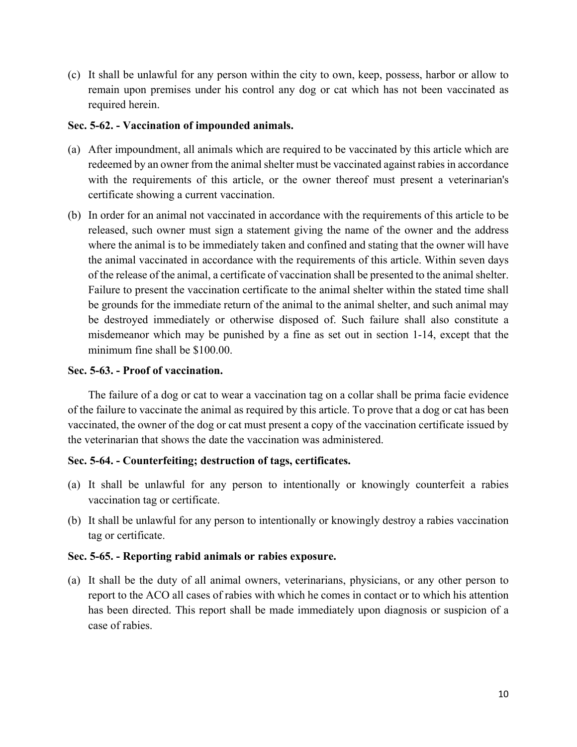(c) It shall be unlawful for any person within the city to own, keep, possess, harbor or allow to remain upon premises under his control any dog or cat which has not been vaccinated as required herein.

### **Sec. 5-62. - Vaccination of impounded animals.**

- (a) After impoundment, all animals which are required to be vaccinated by this article which are redeemed by an owner from the animal shelter must be vaccinated against rabies in accordance with the requirements of this article, or the owner thereof must present a veterinarian's certificate showing a current vaccination.
- (b) In order for an animal not vaccinated in accordance with the requirements of this article to be released, such owner must sign a statement giving the name of the owner and the address where the animal is to be immediately taken and confined and stating that the owner will have the animal vaccinated in accordance with the requirements of this article. Within seven days of the release of the animal, a certificate of vaccination shall be presented to the animal shelter. Failure to present the vaccination certificate to the animal shelter within the stated time shall be grounds for the immediate return of the animal to the animal shelter, and such animal may be destroyed immediately or otherwise disposed of. Such failure shall also constitute a misdemeanor which may be punished by a fine as set out in section 1-14, except that the minimum fine shall be \$100.00.

## **Sec. 5-63. - Proof of vaccination.**

The failure of a dog or cat to wear a vaccination tag on a collar shall be prima facie evidence of the failure to vaccinate the animal as required by this article. To prove that a dog or cat has been vaccinated, the owner of the dog or cat must present a copy of the vaccination certificate issued by the veterinarian that shows the date the vaccination was administered.

## **Sec. 5-64. - Counterfeiting; destruction of tags, certificates.**

- (a) It shall be unlawful for any person to intentionally or knowingly counterfeit a rabies vaccination tag or certificate.
- (b) It shall be unlawful for any person to intentionally or knowingly destroy a rabies vaccination tag or certificate.

#### **Sec. 5-65. - Reporting rabid animals or rabies exposure.**

(a) It shall be the duty of all animal owners, veterinarians, physicians, or any other person to report to the ACO all cases of rabies with which he comes in contact or to which his attention has been directed. This report shall be made immediately upon diagnosis or suspicion of a case of rabies.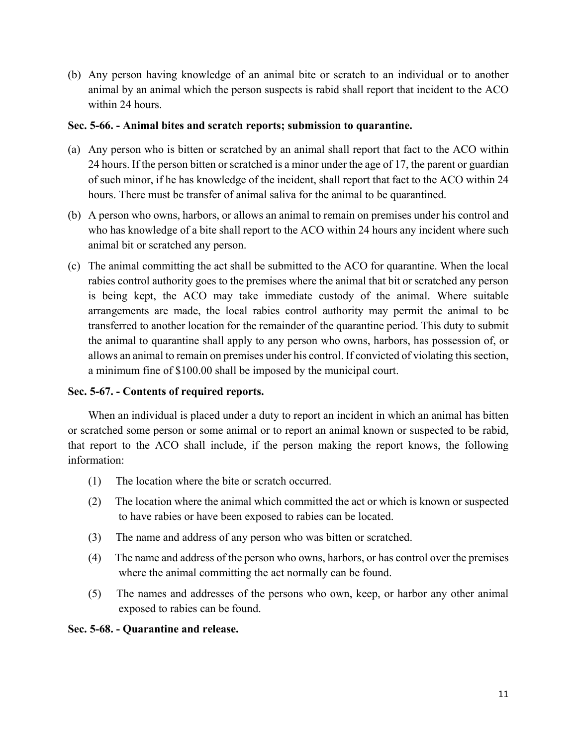(b) Any person having knowledge of an animal bite or scratch to an individual or to another animal by an animal which the person suspects is rabid shall report that incident to the ACO within 24 hours.

### **Sec. 5-66. - Animal bites and scratch reports; submission to quarantine.**

- (a) Any person who is bitten or scratched by an animal shall report that fact to the ACO within 24 hours. If the person bitten or scratched is a minor under the age of 17, the parent or guardian of such minor, if he has knowledge of the incident, shall report that fact to the ACO within 24 hours. There must be transfer of animal saliva for the animal to be quarantined.
- (b) A person who owns, harbors, or allows an animal to remain on premises under his control and who has knowledge of a bite shall report to the ACO within 24 hours any incident where such animal bit or scratched any person.
- (c) The animal committing the act shall be submitted to the ACO for quarantine. When the local rabies control authority goes to the premises where the animal that bit or scratched any person is being kept, the ACO may take immediate custody of the animal. Where suitable arrangements are made, the local rabies control authority may permit the animal to be transferred to another location for the remainder of the quarantine period. This duty to submit the animal to quarantine shall apply to any person who owns, harbors, has possession of, or allows an animal to remain on premises under his control. If convicted of violating this section, a minimum fine of \$100.00 shall be imposed by the municipal court.

## **Sec. 5-67. - Contents of required reports.**

When an individual is placed under a duty to report an incident in which an animal has bitten or scratched some person or some animal or to report an animal known or suspected to be rabid, that report to the ACO shall include, if the person making the report knows, the following information:

- (1) The location where the bite or scratch occurred.
- (2) The location where the animal which committed the act or which is known or suspected to have rabies or have been exposed to rabies can be located.
- (3) The name and address of any person who was bitten or scratched.
- (4) The name and address of the person who owns, harbors, or has control over the premises where the animal committing the act normally can be found.
- (5) The names and addresses of the persons who own, keep, or harbor any other animal exposed to rabies can be found.

## **Sec. 5-68. - Quarantine and release.**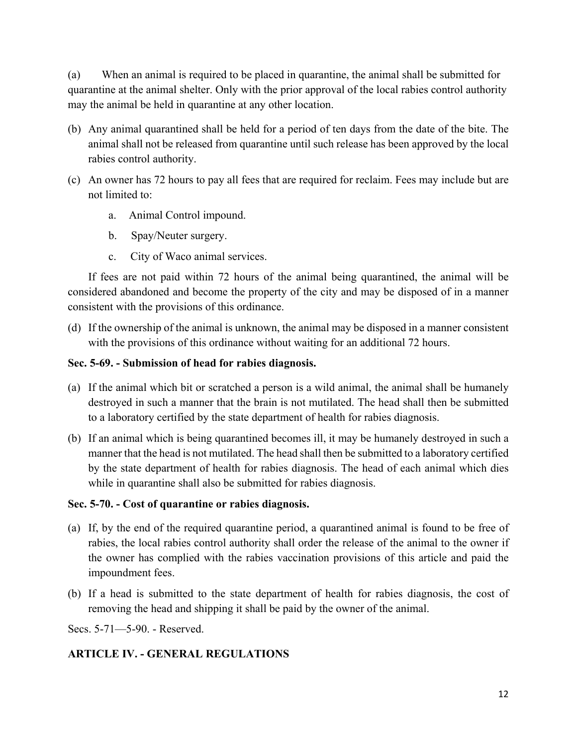(a) When an animal is required to be placed in quarantine, the animal shall be submitted for quarantine at the animal shelter. Only with the prior approval of the local rabies control authority may the animal be held in quarantine at any other location.

- (b) Any animal quarantined shall be held for a period of ten days from the date of the bite. The animal shall not be released from quarantine until such release has been approved by the local rabies control authority.
- (c) An owner has 72 hours to pay all fees that are required for reclaim. Fees may include but are not limited to:
	- a. Animal Control impound.
	- b. Spay/Neuter surgery.
	- c. City of Waco animal services.

If fees are not paid within 72 hours of the animal being quarantined, the animal will be considered abandoned and become the property of the city and may be disposed of in a manner consistent with the provisions of this ordinance.

(d) If the ownership of the animal is unknown, the animal may be disposed in a manner consistent with the provisions of this ordinance without waiting for an additional 72 hours.

## **Sec. 5-69. - Submission of head for rabies diagnosis.**

- (a) If the animal which bit or scratched a person is a wild animal, the animal shall be humanely destroyed in such a manner that the brain is not mutilated. The head shall then be submitted to a laboratory certified by the state department of health for rabies diagnosis.
- (b) If an animal which is being quarantined becomes ill, it may be humanely destroyed in such a manner that the head is not mutilated. The head shall then be submitted to a laboratory certified by the state department of health for rabies diagnosis. The head of each animal which dies while in quarantine shall also be submitted for rabies diagnosis.

## **Sec. 5-70. - Cost of quarantine or rabies diagnosis.**

- (a) If, by the end of the required quarantine period, a quarantined animal is found to be free of rabies, the local rabies control authority shall order the release of the animal to the owner if the owner has complied with the rabies vaccination provisions of this article and paid the impoundment fees.
- (b) If a head is submitted to the state department of health for rabies diagnosis, the cost of removing the head and shipping it shall be paid by the owner of the animal.

Secs. 5-71—5-90. - Reserved.

## **ARTICLE IV. - GENERAL REGULATIONS**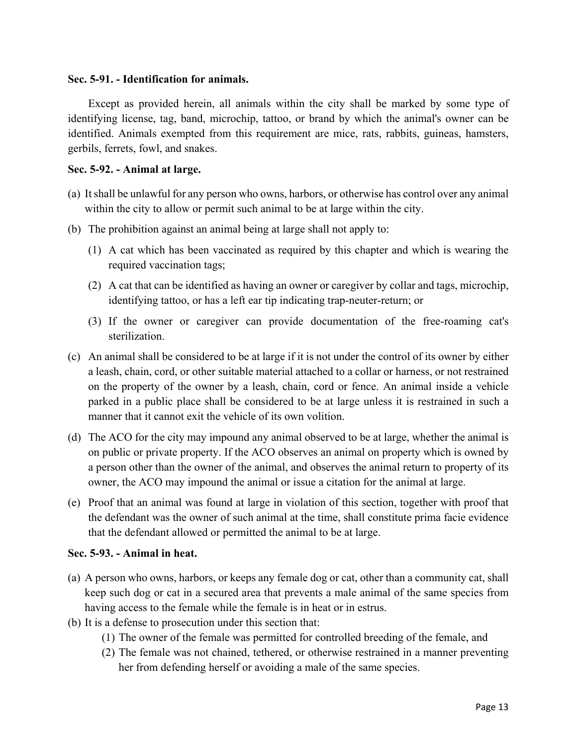#### **Sec. 5-91. - Identification for animals.**

Except as provided herein, all animals within the city shall be marked by some type of identifying license, tag, band, microchip, tattoo, or brand by which the animal's owner can be identified. Animals exempted from this requirement are mice, rats, rabbits, guineas, hamsters, gerbils, ferrets, fowl, and snakes.

#### **Sec. 5-92. - Animal at large.**

- (a) It shall be unlawful for any person who owns, harbors, or otherwise has control over any animal within the city to allow or permit such animal to be at large within the city.
- (b) The prohibition against an animal being at large shall not apply to:
	- (1) A cat which has been vaccinated as required by this chapter and which is wearing the required vaccination tags;
	- (2) A cat that can be identified as having an owner or caregiver by collar and tags, microchip, identifying tattoo, or has a left ear tip indicating trap-neuter-return; or
	- (3) If the owner or caregiver can provide documentation of the free-roaming cat's sterilization.
- (c) An animal shall be considered to be at large if it is not under the control of its owner by either a leash, chain, cord, or other suitable material attached to a collar or harness, or not restrained on the property of the owner by a leash, chain, cord or fence. An animal inside a vehicle parked in a public place shall be considered to be at large unless it is restrained in such a manner that it cannot exit the vehicle of its own volition.
- (d) The ACO for the city may impound any animal observed to be at large, whether the animal is on public or private property. If the ACO observes an animal on property which is owned by a person other than the owner of the animal, and observes the animal return to property of its owner, the ACO may impound the animal or issue a citation for the animal at large.
- (e) Proof that an animal was found at large in violation of this section, together with proof that the defendant was the owner of such animal at the time, shall constitute prima facie evidence that the defendant allowed or permitted the animal to be at large.

#### **Sec. 5-93. - Animal in heat.**

- (a) A person who owns, harbors, or keeps any female dog or cat, other than a community cat, shall keep such dog or cat in a secured area that prevents a male animal of the same species from having access to the female while the female is in heat or in estrus.
- (b) It is a defense to prosecution under this section that:
	- (1) The owner of the female was permitted for controlled breeding of the female, and
	- (2) The female was not chained, tethered, or otherwise restrained in a manner preventing her from defending herself or avoiding a male of the same species.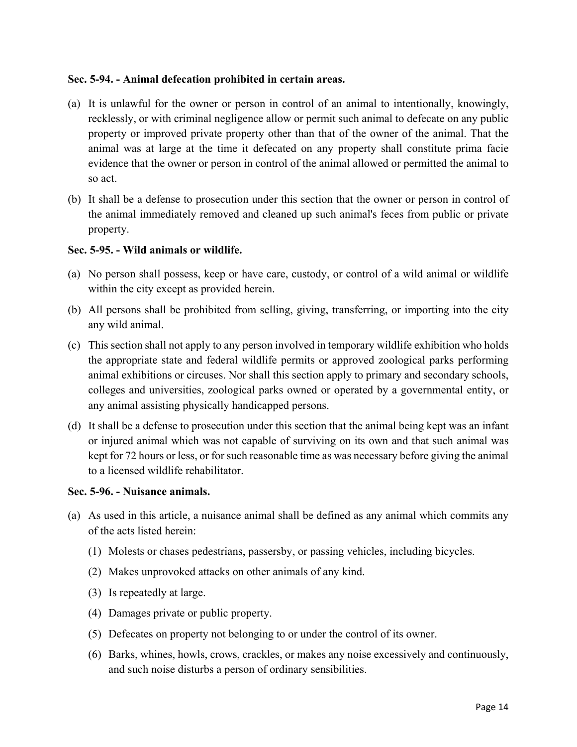### **Sec. 5-94. - Animal defecation prohibited in certain areas.**

- (a) It is unlawful for the owner or person in control of an animal to intentionally, knowingly, recklessly, or with criminal negligence allow or permit such animal to defecate on any public property or improved private property other than that of the owner of the animal. That the animal was at large at the time it defecated on any property shall constitute prima facie evidence that the owner or person in control of the animal allowed or permitted the animal to so act.
- (b) It shall be a defense to prosecution under this section that the owner or person in control of the animal immediately removed and cleaned up such animal's feces from public or private property.

### **Sec. 5-95. - Wild animals or wildlife.**

- (a) No person shall possess, keep or have care, custody, or control of a wild animal or wildlife within the city except as provided herein.
- (b) All persons shall be prohibited from selling, giving, transferring, or importing into the city any wild animal.
- (c) This section shall not apply to any person involved in temporary wildlife exhibition who holds the appropriate state and federal wildlife permits or approved zoological parks performing animal exhibitions or circuses. Nor shall this section apply to primary and secondary schools, colleges and universities, zoological parks owned or operated by a governmental entity, or any animal assisting physically handicapped persons.
- (d) It shall be a defense to prosecution under this section that the animal being kept was an infant or injured animal which was not capable of surviving on its own and that such animal was kept for 72 hours or less, or for such reasonable time as was necessary before giving the animal to a licensed wildlife rehabilitator.

#### **Sec. 5-96. - Nuisance animals.**

- (a) As used in this article, a nuisance animal shall be defined as any animal which commits any of the acts listed herein:
	- (1) Molests or chases pedestrians, passersby, or passing vehicles, including bicycles.
	- (2) Makes unprovoked attacks on other animals of any kind.
	- (3) Is repeatedly at large.
	- (4) Damages private or public property.
	- (5) Defecates on property not belonging to or under the control of its owner.
	- (6) Barks, whines, howls, crows, crackles, or makes any noise excessively and continuously, and such noise disturbs a person of ordinary sensibilities.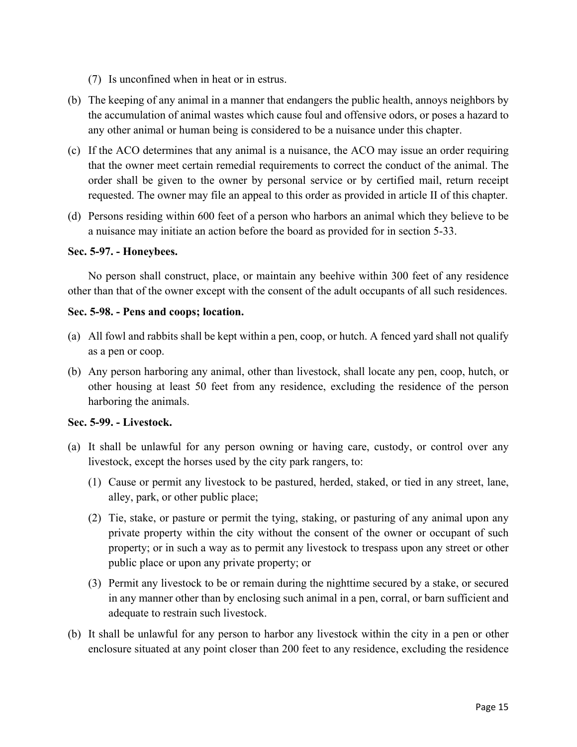- (7) Is unconfined when in heat or in estrus.
- (b) The keeping of any animal in a manner that endangers the public health, annoys neighbors by the accumulation of animal wastes which cause foul and offensive odors, or poses a hazard to any other animal or human being is considered to be a nuisance under this chapter.
- (c) If the ACO determines that any animal is a nuisance, the ACO may issue an order requiring that the owner meet certain remedial requirements to correct the conduct of the animal. The order shall be given to the owner by personal service or by certified mail, return receipt requested. The owner may file an appeal to this order as provided in article II of this chapter.
- (d) Persons residing within 600 feet of a person who harbors an animal which they believe to be a nuisance may initiate an action before the board as provided for in section 5-33.

### **Sec. 5-97. - Honeybees.**

No person shall construct, place, or maintain any beehive within 300 feet of any residence other than that of the owner except with the consent of the adult occupants of all such residences.

### **Sec. 5-98. - Pens and coops; location.**

- (a) All fowl and rabbits shall be kept within a pen, coop, or hutch. A fenced yard shall not qualify as a pen or coop.
- (b) Any person harboring any animal, other than livestock, shall locate any pen, coop, hutch, or other housing at least 50 feet from any residence, excluding the residence of the person harboring the animals.

## **Sec. 5-99. - Livestock.**

- (a) It shall be unlawful for any person owning or having care, custody, or control over any livestock, except the horses used by the city park rangers, to:
	- (1) Cause or permit any livestock to be pastured, herded, staked, or tied in any street, lane, alley, park, or other public place;
	- (2) Tie, stake, or pasture or permit the tying, staking, or pasturing of any animal upon any private property within the city without the consent of the owner or occupant of such property; or in such a way as to permit any livestock to trespass upon any street or other public place or upon any private property; or
	- (3) Permit any livestock to be or remain during the nighttime secured by a stake, or secured in any manner other than by enclosing such animal in a pen, corral, or barn sufficient and adequate to restrain such livestock.
- (b) It shall be unlawful for any person to harbor any livestock within the city in a pen or other enclosure situated at any point closer than 200 feet to any residence, excluding the residence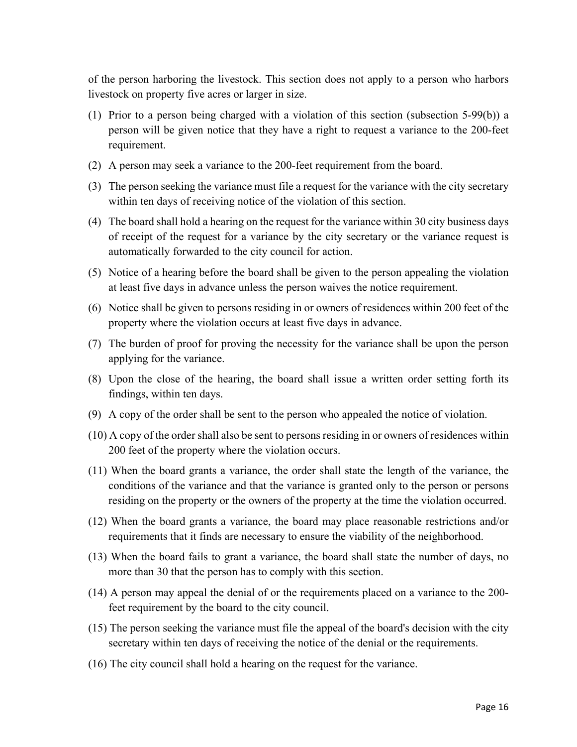of the person harboring the livestock. This section does not apply to a person who harbors livestock on property five acres or larger in size.

- (1) Prior to a person being charged with a violation of this section (subsection 5-99(b)) a person will be given notice that they have a right to request a variance to the 200-feet requirement.
- (2) A person may seek a variance to the 200-feet requirement from the board.
- (3) The person seeking the variance must file a request for the variance with the city secretary within ten days of receiving notice of the violation of this section.
- (4) The board shall hold a hearing on the request for the variance within 30 city business days of receipt of the request for a variance by the city secretary or the variance request is automatically forwarded to the city council for action.
- (5) Notice of a hearing before the board shall be given to the person appealing the violation at least five days in advance unless the person waives the notice requirement.
- (6) Notice shall be given to persons residing in or owners of residences within 200 feet of the property where the violation occurs at least five days in advance.
- (7) The burden of proof for proving the necessity for the variance shall be upon the person applying for the variance.
- (8) Upon the close of the hearing, the board shall issue a written order setting forth its findings, within ten days.
- (9) A copy of the order shall be sent to the person who appealed the notice of violation.
- (10) A copy of the order shall also be sent to persons residing in or owners of residences within 200 feet of the property where the violation occurs.
- (11) When the board grants a variance, the order shall state the length of the variance, the conditions of the variance and that the variance is granted only to the person or persons residing on the property or the owners of the property at the time the violation occurred.
- (12) When the board grants a variance, the board may place reasonable restrictions and/or requirements that it finds are necessary to ensure the viability of the neighborhood.
- (13) When the board fails to grant a variance, the board shall state the number of days, no more than 30 that the person has to comply with this section.
- (14) A person may appeal the denial of or the requirements placed on a variance to the 200 feet requirement by the board to the city council.
- (15) The person seeking the variance must file the appeal of the board's decision with the city secretary within ten days of receiving the notice of the denial or the requirements.
- (16) The city council shall hold a hearing on the request for the variance.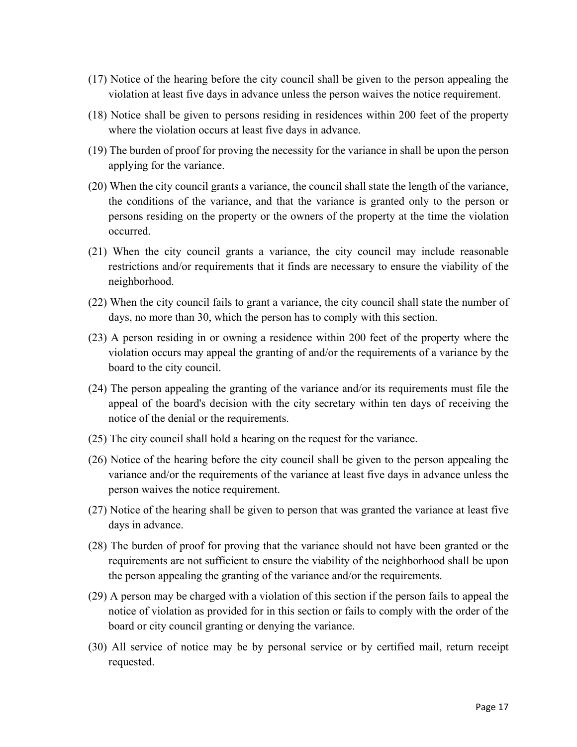- (17) Notice of the hearing before the city council shall be given to the person appealing the violation at least five days in advance unless the person waives the notice requirement.
- (18) Notice shall be given to persons residing in residences within 200 feet of the property where the violation occurs at least five days in advance.
- (19) The burden of proof for proving the necessity for the variance in shall be upon the person applying for the variance.
- (20) When the city council grants a variance, the council shall state the length of the variance, the conditions of the variance, and that the variance is granted only to the person or persons residing on the property or the owners of the property at the time the violation occurred.
- (21) When the city council grants a variance, the city council may include reasonable restrictions and/or requirements that it finds are necessary to ensure the viability of the neighborhood.
- (22) When the city council fails to grant a variance, the city council shall state the number of days, no more than 30, which the person has to comply with this section.
- (23) A person residing in or owning a residence within 200 feet of the property where the violation occurs may appeal the granting of and/or the requirements of a variance by the board to the city council.
- (24) The person appealing the granting of the variance and/or its requirements must file the appeal of the board's decision with the city secretary within ten days of receiving the notice of the denial or the requirements.
- (25) The city council shall hold a hearing on the request for the variance.
- (26) Notice of the hearing before the city council shall be given to the person appealing the variance and/or the requirements of the variance at least five days in advance unless the person waives the notice requirement.
- (27) Notice of the hearing shall be given to person that was granted the variance at least five days in advance.
- (28) The burden of proof for proving that the variance should not have been granted or the requirements are not sufficient to ensure the viability of the neighborhood shall be upon the person appealing the granting of the variance and/or the requirements.
- (29) A person may be charged with a violation of this section if the person fails to appeal the notice of violation as provided for in this section or fails to comply with the order of the board or city council granting or denying the variance.
- (30) All service of notice may be by personal service or by certified mail, return receipt requested.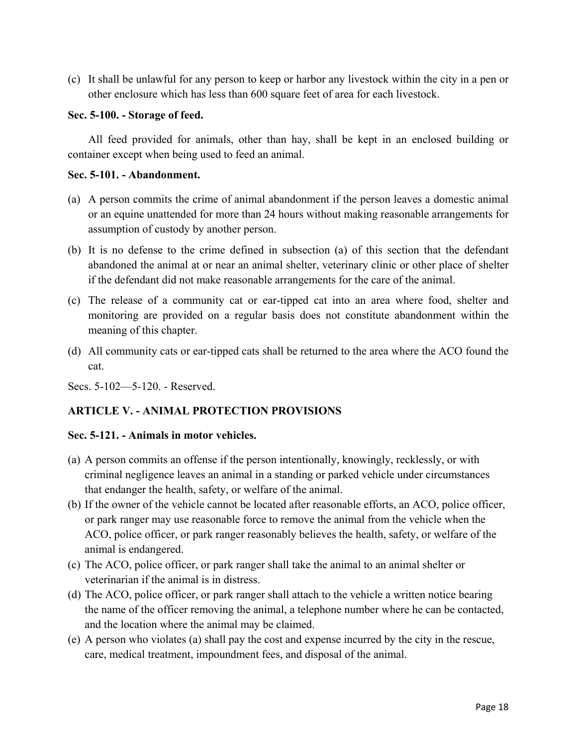(c) It shall be unlawful for any person to keep or harbor any livestock within the city in a pen or other enclosure which has less than 600 square feet of area for each livestock.

#### **Sec. 5-100. - Storage of feed.**

All feed provided for animals, other than hay, shall be kept in an enclosed building or container except when being used to feed an animal.

#### **Sec. 5-101. - Abandonment.**

- (a) A person commits the crime of animal abandonment if the person leaves a domestic animal or an equine unattended for more than 24 hours without making reasonable arrangements for assumption of custody by another person.
- (b) It is no defense to the crime defined in subsection (a) of this section that the defendant abandoned the animal at or near an animal shelter, veterinary clinic or other place of shelter if the defendant did not make reasonable arrangements for the care of the animal.
- (c) The release of a community cat or ear-tipped cat into an area where food, shelter and monitoring are provided on a regular basis does not constitute abandonment within the meaning of this chapter.
- (d) All community cats or ear-tipped cats shall be returned to the area where the ACO found the cat.

Secs. 5-102—5-120. - Reserved.

## **ARTICLE V. - ANIMAL PROTECTION PROVISIONS**

#### **Sec. 5-121. - Animals in motor vehicles.**

- (a) A person commits an offense if the person intentionally, knowingly, recklessly, or with criminal negligence leaves an animal in a standing or parked vehicle under circumstances that endanger the health, safety, or welfare of the animal.
- (b) If the owner of the vehicle cannot be located after reasonable efforts, an ACO, police officer, or park ranger may use reasonable force to remove the animal from the vehicle when the ACO, police officer, or park ranger reasonably believes the health, safety, or welfare of the animal is endangered.
- (c) The ACO, police officer, or park ranger shall take the animal to an animal shelter or veterinarian if the animal is in distress.
- (d) The ACO, police officer, or park ranger shall attach to the vehicle a written notice bearing the name of the officer removing the animal, a telephone number where he can be contacted, and the location where the animal may be claimed.
- (e) A person who violates (a) shall pay the cost and expense incurred by the city in the rescue, care, medical treatment, impoundment fees, and disposal of the animal.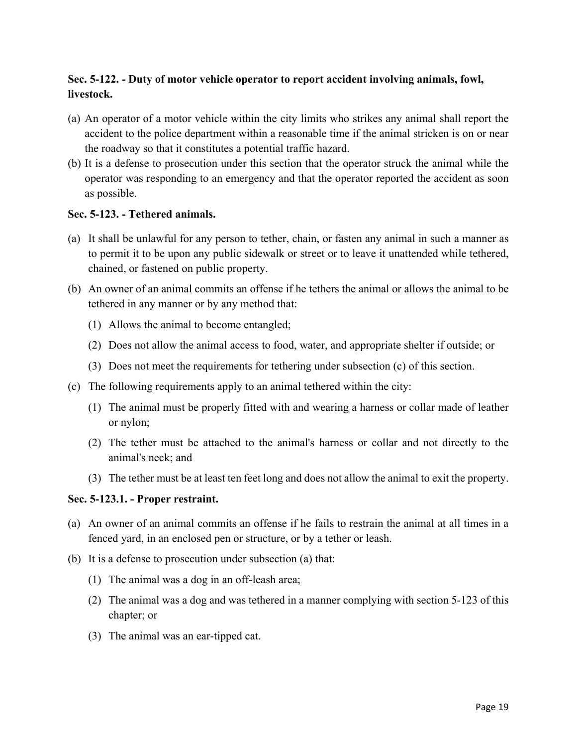# **Sec. 5-122. - Duty of motor vehicle operator to report accident involving animals, fowl, livestock.**

- (a) An operator of a motor vehicle within the city limits who strikes any animal shall report the accident to the police department within a reasonable time if the animal stricken is on or near the roadway so that it constitutes a potential traffic hazard.
- (b) It is a defense to prosecution under this section that the operator struck the animal while the operator was responding to an emergency and that the operator reported the accident as soon as possible.

### **Sec. 5-123. - Tethered animals.**

- (a) It shall be unlawful for any person to tether, chain, or fasten any animal in such a manner as to permit it to be upon any public sidewalk or street or to leave it unattended while tethered, chained, or fastened on public property.
- (b) An owner of an animal commits an offense if he tethers the animal or allows the animal to be tethered in any manner or by any method that:
	- (1) Allows the animal to become entangled;
	- (2) Does not allow the animal access to food, water, and appropriate shelter if outside; or
	- (3) Does not meet the requirements for tethering under subsection (c) of this section.
- (c) The following requirements apply to an animal tethered within the city:
	- (1) The animal must be properly fitted with and wearing a harness or collar made of leather or nylon;
	- (2) The tether must be attached to the animal's harness or collar and not directly to the animal's neck; and
	- (3) The tether must be at least ten feet long and does not allow the animal to exit the property.

## **Sec. 5-123.1. - Proper restraint.**

- (a) An owner of an animal commits an offense if he fails to restrain the animal at all times in a fenced yard, in an enclosed pen or structure, or by a tether or leash.
- (b) It is a defense to prosecution under subsection (a) that:
	- (1) The animal was a dog in an off-leash area;
	- (2) The animal was a dog and was tethered in a manner complying with section 5-123 of this chapter; or
	- (3) The animal was an ear-tipped cat.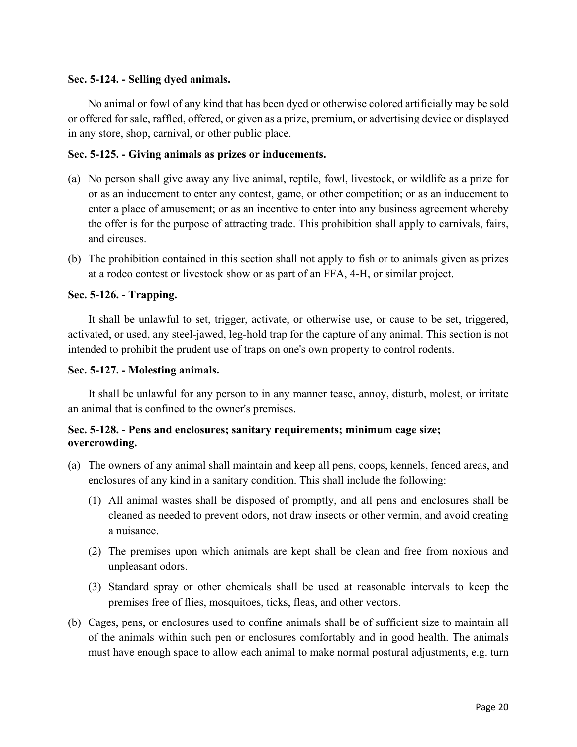### **Sec. 5-124. - Selling dyed animals.**

No animal or fowl of any kind that has been dyed or otherwise colored artificially may be sold or offered for sale, raffled, offered, or given as a prize, premium, or advertising device or displayed in any store, shop, carnival, or other public place.

### **Sec. 5-125. - Giving animals as prizes or inducements.**

- (a) No person shall give away any live animal, reptile, fowl, livestock, or wildlife as a prize for or as an inducement to enter any contest, game, or other competition; or as an inducement to enter a place of amusement; or as an incentive to enter into any business agreement whereby the offer is for the purpose of attracting trade. This prohibition shall apply to carnivals, fairs, and circuses.
- (b) The prohibition contained in this section shall not apply to fish or to animals given as prizes at a rodeo contest or livestock show or as part of an FFA, 4-H, or similar project.

### **Sec. 5-126. - Trapping.**

It shall be unlawful to set, trigger, activate, or otherwise use, or cause to be set, triggered, activated, or used, any steel-jawed, leg-hold trap for the capture of any animal. This section is not intended to prohibit the prudent use of traps on one's own property to control rodents.

#### **Sec. 5-127. - Molesting animals.**

It shall be unlawful for any person to in any manner tease, annoy, disturb, molest, or irritate an animal that is confined to the owner's premises.

## **Sec. 5-128. - Pens and enclosures; sanitary requirements; minimum cage size; overcrowding.**

- (a) The owners of any animal shall maintain and keep all pens, coops, kennels, fenced areas, and enclosures of any kind in a sanitary condition. This shall include the following:
	- (1) All animal wastes shall be disposed of promptly, and all pens and enclosures shall be cleaned as needed to prevent odors, not draw insects or other vermin, and avoid creating a nuisance.
	- (2) The premises upon which animals are kept shall be clean and free from noxious and unpleasant odors.
	- (3) Standard spray or other chemicals shall be used at reasonable intervals to keep the premises free of flies, mosquitoes, ticks, fleas, and other vectors.
- (b) Cages, pens, or enclosures used to confine animals shall be of sufficient size to maintain all of the animals within such pen or enclosures comfortably and in good health. The animals must have enough space to allow each animal to make normal postural adjustments, e.g. turn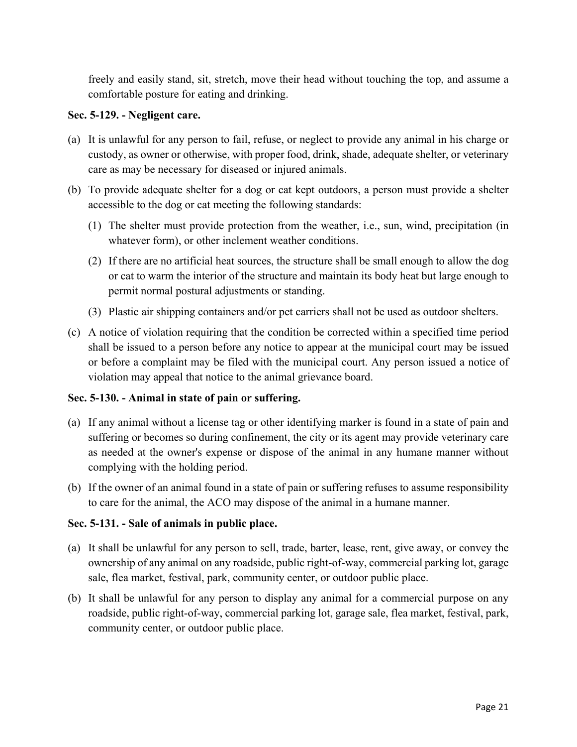freely and easily stand, sit, stretch, move their head without touching the top, and assume a comfortable posture for eating and drinking.

### **Sec. 5-129. - Negligent care.**

- (a) It is unlawful for any person to fail, refuse, or neglect to provide any animal in his charge or custody, as owner or otherwise, with proper food, drink, shade, adequate shelter, or veterinary care as may be necessary for diseased or injured animals.
- (b) To provide adequate shelter for a dog or cat kept outdoors, a person must provide a shelter accessible to the dog or cat meeting the following standards:
	- (1) The shelter must provide protection from the weather, i.e., sun, wind, precipitation (in whatever form), or other inclement weather conditions.
	- (2) If there are no artificial heat sources, the structure shall be small enough to allow the dog or cat to warm the interior of the structure and maintain its body heat but large enough to permit normal postural adjustments or standing.
	- (3) Plastic air shipping containers and/or pet carriers shall not be used as outdoor shelters.
- (c) A notice of violation requiring that the condition be corrected within a specified time period shall be issued to a person before any notice to appear at the municipal court may be issued or before a complaint may be filed with the municipal court. Any person issued a notice of violation may appeal that notice to the animal grievance board.

#### **Sec. 5-130. - Animal in state of pain or suffering.**

- (a) If any animal without a license tag or other identifying marker is found in a state of pain and suffering or becomes so during confinement, the city or its agent may provide veterinary care as needed at the owner's expense or dispose of the animal in any humane manner without complying with the holding period.
- (b) If the owner of an animal found in a state of pain or suffering refuses to assume responsibility to care for the animal, the ACO may dispose of the animal in a humane manner.

## **Sec. 5-131. - Sale of animals in public place.**

- (a) It shall be unlawful for any person to sell, trade, barter, lease, rent, give away, or convey the ownership of any animal on any roadside, public right-of-way, commercial parking lot, garage sale, flea market, festival, park, community center, or outdoor public place.
- (b) It shall be unlawful for any person to display any animal for a commercial purpose on any roadside, public right-of-way, commercial parking lot, garage sale, flea market, festival, park, community center, or outdoor public place.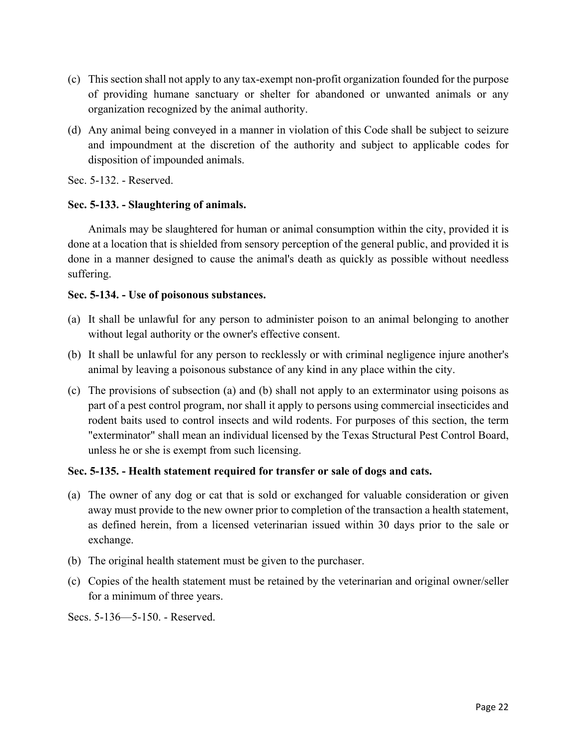- (c) This section shall not apply to any tax-exempt non-profit organization founded for the purpose of providing humane sanctuary or shelter for abandoned or unwanted animals or any organization recognized by the animal authority.
- (d) Any animal being conveyed in a manner in violation of this Code shall be subject to seizure and impoundment at the discretion of the authority and subject to applicable codes for disposition of impounded animals.

Sec. 5-132. - Reserved.

### **Sec. 5-133. - Slaughtering of animals.**

Animals may be slaughtered for human or animal consumption within the city, provided it is done at a location that is shielded from sensory perception of the general public, and provided it is done in a manner designed to cause the animal's death as quickly as possible without needless suffering.

### **Sec. 5-134. - Use of poisonous substances.**

- (a) It shall be unlawful for any person to administer poison to an animal belonging to another without legal authority or the owner's effective consent.
- (b) It shall be unlawful for any person to recklessly or with criminal negligence injure another's animal by leaving a poisonous substance of any kind in any place within the city.
- (c) The provisions of subsection (a) and (b) shall not apply to an exterminator using poisons as part of a pest control program, nor shall it apply to persons using commercial insecticides and rodent baits used to control insects and wild rodents. For purposes of this section, the term "exterminator" shall mean an individual licensed by the Texas Structural Pest Control Board, unless he or she is exempt from such licensing.

#### **Sec. 5-135. - Health statement required for transfer or sale of dogs and cats.**

- (a) The owner of any dog or cat that is sold or exchanged for valuable consideration or given away must provide to the new owner prior to completion of the transaction a health statement, as defined herein, from a licensed veterinarian issued within 30 days prior to the sale or exchange.
- (b) The original health statement must be given to the purchaser.
- (c) Copies of the health statement must be retained by the veterinarian and original owner/seller for a minimum of three years.

Secs. 5-136—5-150. - Reserved.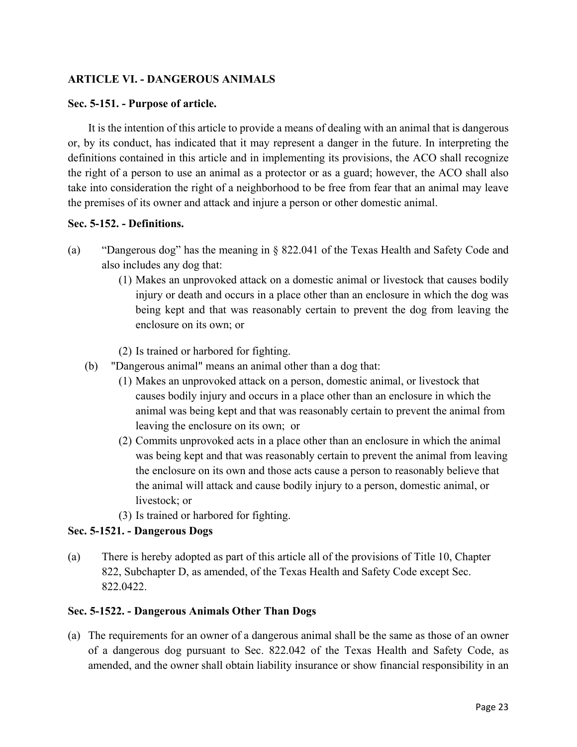## **ARTICLE VI. - DANGEROUS ANIMALS**

#### **Sec. 5-151. - Purpose of article.**

It is the intention of this article to provide a means of dealing with an animal that is dangerous or, by its conduct, has indicated that it may represent a danger in the future. In interpreting the definitions contained in this article and in implementing its provisions, the ACO shall recognize the right of a person to use an animal as a protector or as a guard; however, the ACO shall also take into consideration the right of a neighborhood to be free from fear that an animal may leave the premises of its owner and attack and injure a person or other domestic animal.

#### **Sec. 5-152. - Definitions.**

- (a) "Dangerous dog" has the meaning in § 822.041 of the Texas Health and Safety Code and also includes any dog that:
	- (1) Makes an unprovoked attack on a domestic animal or livestock that causes bodily injury or death and occurs in a place other than an enclosure in which the dog was being kept and that was reasonably certain to prevent the dog from leaving the enclosure on its own; or
	- (2) Is trained or harbored for fighting.
	- (b) "Dangerous animal" means an animal other than a dog that:
		- (1) Makes an unprovoked attack on a person, domestic animal, or livestock that causes bodily injury and occurs in a place other than an enclosure in which the animal was being kept and that was reasonably certain to prevent the animal from leaving the enclosure on its own; or
		- (2) Commits unprovoked acts in a place other than an enclosure in which the animal was being kept and that was reasonably certain to prevent the animal from leaving the enclosure on its own and those acts cause a person to reasonably believe that the animal will attack and cause bodily injury to a person, domestic animal, or livestock; or
		- (3) Is trained or harbored for fighting.

#### **Sec. 5-1521. - Dangerous Dogs**

(a) There is hereby adopted as part of this article all of the provisions of Title 10, Chapter 822, Subchapter D, as amended, of the Texas Health and Safety Code except Sec. 822.0422.

#### **Sec. 5-1522. - Dangerous Animals Other Than Dogs**

(a) The requirements for an owner of a dangerous animal shall be the same as those of an owner of a dangerous dog pursuant to Sec. 822.042 of the Texas Health and Safety Code, as amended, and the owner shall obtain liability insurance or show financial responsibility in an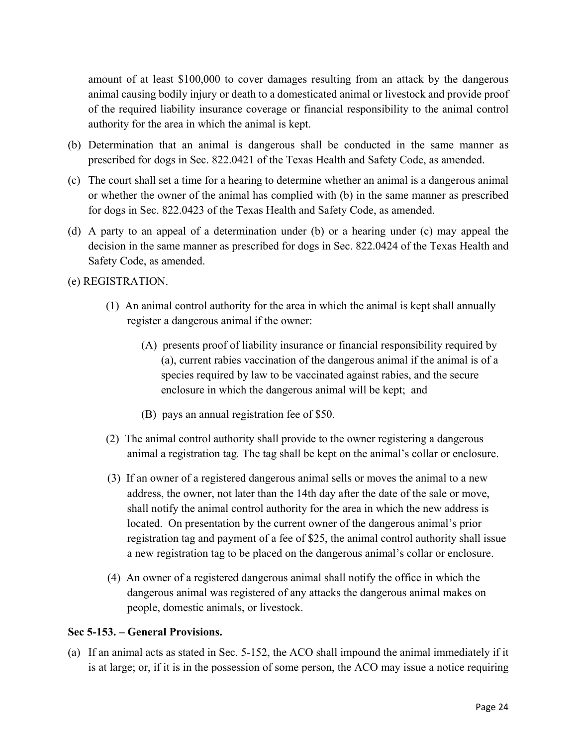amount of at least \$100,000 to cover damages resulting from an attack by the dangerous animal causing bodily injury or death to a domesticated animal or livestock and provide proof of the required liability insurance coverage or financial responsibility to the animal control authority for the area in which the animal is kept.

- (b) Determination that an animal is dangerous shall be conducted in the same manner as prescribed for dogs in Sec. 822.0421 of the Texas Health and Safety Code, as amended.
- (c) The court shall set a time for a hearing to determine whether an animal is a dangerous animal or whether the owner of the animal has complied with (b) in the same manner as prescribed for dogs in Sec. 822.0423 of the Texas Health and Safety Code, as amended.
- (d) A party to an appeal of a determination under (b) or a hearing under (c) may appeal the decision in the same manner as prescribed for dogs in Sec. 822.0424 of the Texas Health and Safety Code, as amended.
- (e) REGISTRATION.
	- (1) An animal control authority for the area in which the animal is kept shall annually register a dangerous animal if the owner:
		- (A) presents proof of liability insurance or financial responsibility required by (a), current rabies vaccination of the dangerous animal if the animal is of a species required by law to be vaccinated against rabies, and the secure enclosure in which the dangerous animal will be kept; and
		- (B) pays an annual registration fee of \$50.
	- (2) The animal control authority shall provide to the owner registering a dangerous animal a registration tag*.* The tag shall be kept on the animal's collar or enclosure.
	- (3) If an owner of a registered dangerous animal sells or moves the animal to a new address, the owner, not later than the 14th day after the date of the sale or move, shall notify the animal control authority for the area in which the new address is located. On presentation by the current owner of the dangerous animal's prior registration tag and payment of a fee of \$25, the animal control authority shall issue a new registration tag to be placed on the dangerous animal's collar or enclosure.
	- (4) An owner of a registered dangerous animal shall notify the office in which the dangerous animal was registered of any attacks the dangerous animal makes on people, domestic animals, or livestock.

#### **Sec 5-153. – General Provisions.**

(a) If an animal acts as stated in Sec. 5-152, the ACO shall impound the animal immediately if it is at large; or, if it is in the possession of some person, the ACO may issue a notice requiring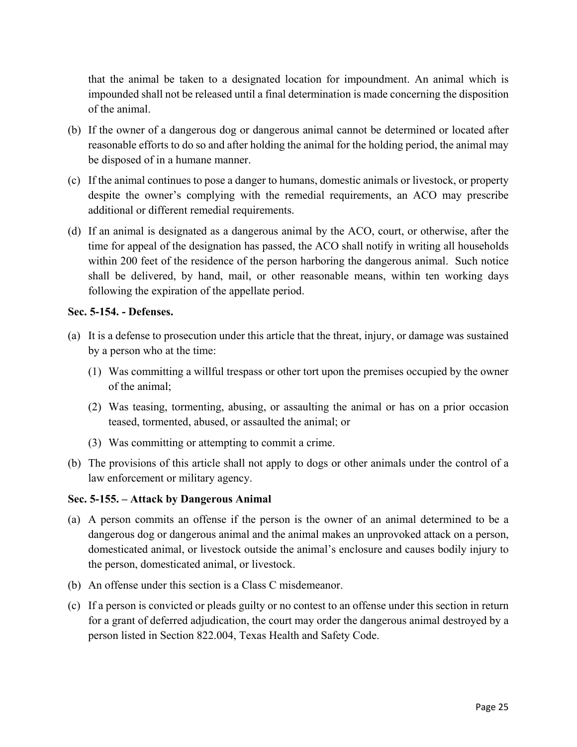that the animal be taken to a designated location for impoundment. An animal which is impounded shall not be released until a final determination is made concerning the disposition of the animal.

- (b) If the owner of a dangerous dog or dangerous animal cannot be determined or located after reasonable efforts to do so and after holding the animal for the holding period, the animal may be disposed of in a humane manner.
- (c) If the animal continues to pose a danger to humans, domestic animals or livestock, or property despite the owner's complying with the remedial requirements, an ACO may prescribe additional or different remedial requirements.
- (d) If an animal is designated as a dangerous animal by the ACO, court, or otherwise, after the time for appeal of the designation has passed, the ACO shall notify in writing all households within 200 feet of the residence of the person harboring the dangerous animal. Such notice shall be delivered, by hand, mail, or other reasonable means, within ten working days following the expiration of the appellate period.

### **Sec. 5-154. - Defenses.**

- (a) It is a defense to prosecution under this article that the threat, injury, or damage was sustained by a person who at the time:
	- (1) Was committing a willful trespass or other tort upon the premises occupied by the owner of the animal;
	- (2) Was teasing, tormenting, abusing, or assaulting the animal or has on a prior occasion teased, tormented, abused, or assaulted the animal; or
	- (3) Was committing or attempting to commit a crime.
- (b) The provisions of this article shall not apply to dogs or other animals under the control of a law enforcement or military agency.

#### **Sec. 5-155. – Attack by Dangerous Animal**

- (a) A person commits an offense if the person is the owner of an animal determined to be a dangerous dog or dangerous animal and the animal makes an unprovoked attack on a person, domesticated animal, or livestock outside the animal's enclosure and causes bodily injury to the person, domesticated animal, or livestock.
- (b) An offense under this section is a Class C misdemeanor.
- (c) If a person is convicted or pleads guilty or no contest to an offense under this section in return for a grant of deferred adjudication, the court may order the dangerous animal destroyed by a person listed in Section 822.004, Texas Health and Safety Code.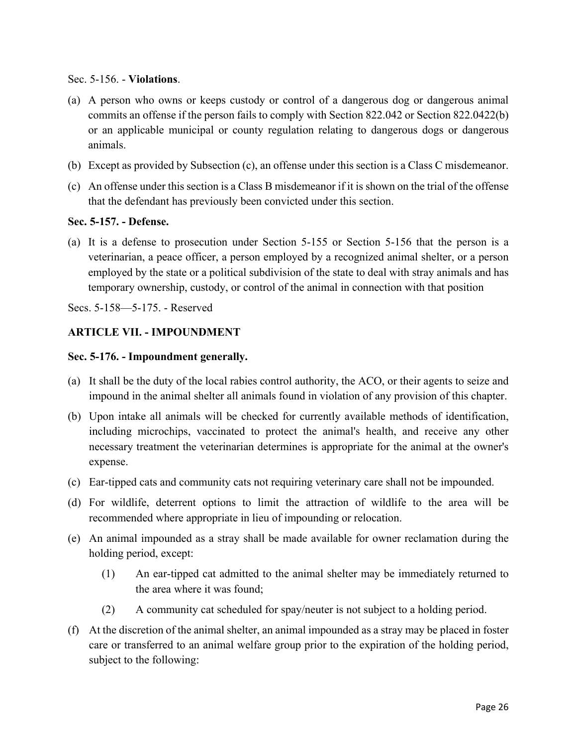Sec. 5-156. - **Violations**.

- (a) A person who owns or keeps custody or control of a dangerous dog or dangerous animal commits an offense if the person fails to comply with Section 822.042 or Section 822.0422(b) or an applicable municipal or county regulation relating to dangerous dogs or dangerous animals.
- (b) Except as provided by Subsection (c), an offense under this section is a Class C misdemeanor.
- (c) An offense under this section is a Class B misdemeanor if it is shown on the trial of the offense that the defendant has previously been convicted under this section.

#### **Sec. 5-157. - Defense.**

(a) It is a defense to prosecution under Section 5-155 or Section 5-156 that the person is a veterinarian, a peace officer, a person employed by a recognized animal shelter, or a person employed by the state or a political subdivision of the state to deal with stray animals and has temporary ownership, custody, or control of the animal in connection with that position

Secs. 5-158—5-175. - Reserved

### **ARTICLE VII. - IMPOUNDMENT**

#### **Sec. 5-176. - Impoundment generally.**

- (a) It shall be the duty of the local rabies control authority, the ACO, or their agents to seize and impound in the animal shelter all animals found in violation of any provision of this chapter.
- (b) Upon intake all animals will be checked for currently available methods of identification, including microchips, vaccinated to protect the animal's health, and receive any other necessary treatment the veterinarian determines is appropriate for the animal at the owner's expense.
- (c) Ear-tipped cats and community cats not requiring veterinary care shall not be impounded.
- (d) For wildlife, deterrent options to limit the attraction of wildlife to the area will be recommended where appropriate in lieu of impounding or relocation.
- (e) An animal impounded as a stray shall be made available for owner reclamation during the holding period, except:
	- (1) An ear-tipped cat admitted to the animal shelter may be immediately returned to the area where it was found;
	- (2) A community cat scheduled for spay/neuter is not subject to a holding period.
- (f) At the discretion of the animal shelter, an animal impounded as a stray may be placed in foster care or transferred to an animal welfare group prior to the expiration of the holding period, subject to the following: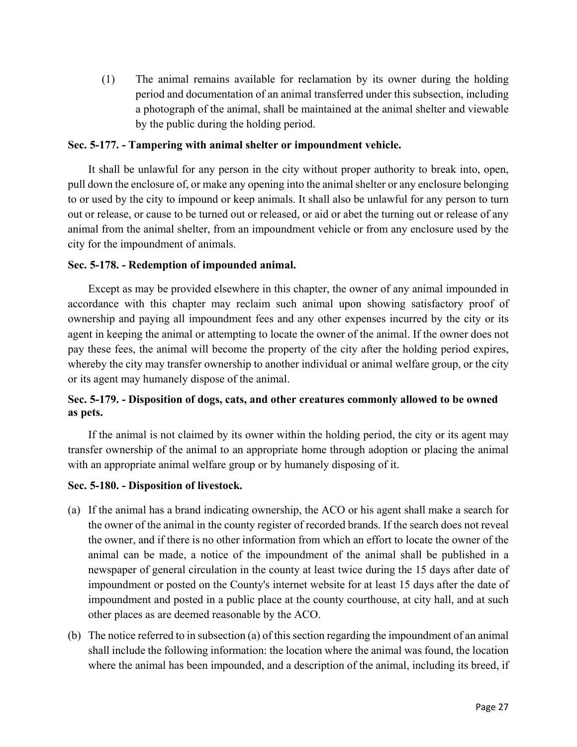(1) The animal remains available for reclamation by its owner during the holding period and documentation of an animal transferred under this subsection, including a photograph of the animal, shall be maintained at the animal shelter and viewable by the public during the holding period.

### **Sec. 5-177. - Tampering with animal shelter or impoundment vehicle.**

It shall be unlawful for any person in the city without proper authority to break into, open, pull down the enclosure of, or make any opening into the animal shelter or any enclosure belonging to or used by the city to impound or keep animals. It shall also be unlawful for any person to turn out or release, or cause to be turned out or released, or aid or abet the turning out or release of any animal from the animal shelter, from an impoundment vehicle or from any enclosure used by the city for the impoundment of animals.

### **Sec. 5-178. - Redemption of impounded animal.**

Except as may be provided elsewhere in this chapter, the owner of any animal impounded in accordance with this chapter may reclaim such animal upon showing satisfactory proof of ownership and paying all impoundment fees and any other expenses incurred by the city or its agent in keeping the animal or attempting to locate the owner of the animal. If the owner does not pay these fees, the animal will become the property of the city after the holding period expires, whereby the city may transfer ownership to another individual or animal welfare group, or the city or its agent may humanely dispose of the animal.

# **Sec. 5-179. - Disposition of dogs, cats, and other creatures commonly allowed to be owned as pets.**

If the animal is not claimed by its owner within the holding period, the city or its agent may transfer ownership of the animal to an appropriate home through adoption or placing the animal with an appropriate animal welfare group or by humanely disposing of it.

#### **Sec. 5-180. - Disposition of livestock.**

- (a) If the animal has a brand indicating ownership, the ACO or his agent shall make a search for the owner of the animal in the county register of recorded brands. If the search does not reveal the owner, and if there is no other information from which an effort to locate the owner of the animal can be made, a notice of the impoundment of the animal shall be published in a newspaper of general circulation in the county at least twice during the 15 days after date of impoundment or posted on the County's internet website for at least 15 days after the date of impoundment and posted in a public place at the county courthouse, at city hall, and at such other places as are deemed reasonable by the ACO.
- (b) The notice referred to in subsection (a) of this section regarding the impoundment of an animal shall include the following information: the location where the animal was found, the location where the animal has been impounded, and a description of the animal, including its breed, if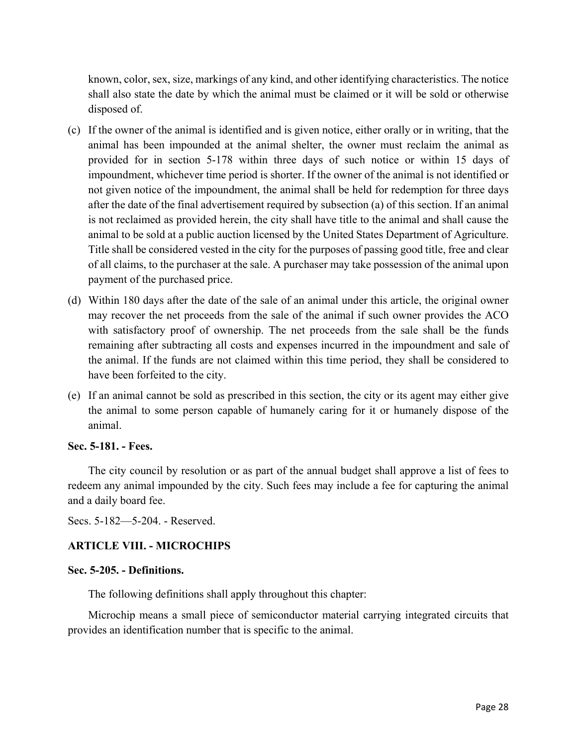known, color, sex, size, markings of any kind, and other identifying characteristics. The notice shall also state the date by which the animal must be claimed or it will be sold or otherwise disposed of.

- (c) If the owner of the animal is identified and is given notice, either orally or in writing, that the animal has been impounded at the animal shelter, the owner must reclaim the animal as provided for in section 5-178 within three days of such notice or within 15 days of impoundment, whichever time period is shorter. If the owner of the animal is not identified or not given notice of the impoundment, the animal shall be held for redemption for three days after the date of the final advertisement required by subsection (a) of this section. If an animal is not reclaimed as provided herein, the city shall have title to the animal and shall cause the animal to be sold at a public auction licensed by the United States Department of Agriculture. Title shall be considered vested in the city for the purposes of passing good title, free and clear of all claims, to the purchaser at the sale. A purchaser may take possession of the animal upon payment of the purchased price.
- (d) Within 180 days after the date of the sale of an animal under this article, the original owner may recover the net proceeds from the sale of the animal if such owner provides the ACO with satisfactory proof of ownership. The net proceeds from the sale shall be the funds remaining after subtracting all costs and expenses incurred in the impoundment and sale of the animal. If the funds are not claimed within this time period, they shall be considered to have been forfeited to the city.
- (e) If an animal cannot be sold as prescribed in this section, the city or its agent may either give the animal to some person capable of humanely caring for it or humanely dispose of the animal.

#### **Sec. 5-181. - Fees.**

The city council by resolution or as part of the annual budget shall approve a list of fees to redeem any animal impounded by the city. Such fees may include a fee for capturing the animal and a daily board fee.

Secs. 5-182—5-204. - Reserved.

## **ARTICLE VIII. - MICROCHIPS**

#### **Sec. 5-205. - Definitions.**

The following definitions shall apply throughout this chapter:

Microchip means a small piece of semiconductor material carrying integrated circuits that provides an identification number that is specific to the animal.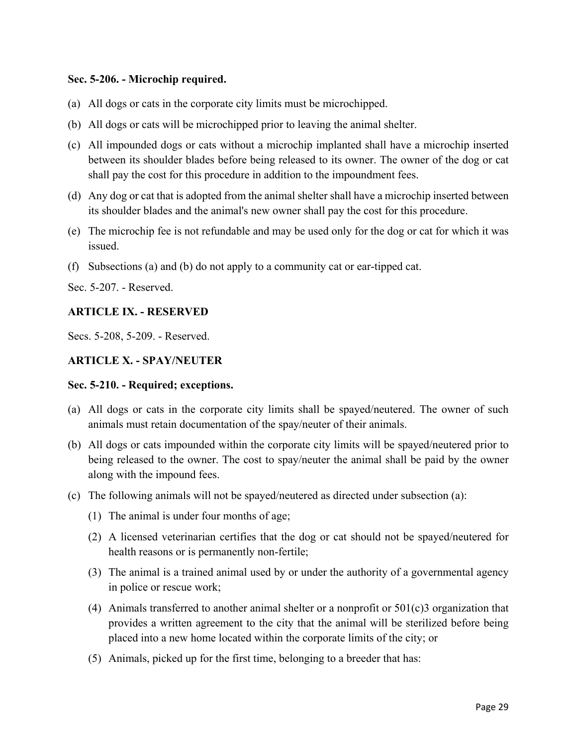### **Sec. 5-206. - Microchip required.**

- (a) All dogs or cats in the corporate city limits must be microchipped.
- (b) All dogs or cats will be microchipped prior to leaving the animal shelter.
- (c) All impounded dogs or cats without a microchip implanted shall have a microchip inserted between its shoulder blades before being released to its owner. The owner of the dog or cat shall pay the cost for this procedure in addition to the impoundment fees.
- (d) Any dog or cat that is adopted from the animal shelter shall have a microchip inserted between its shoulder blades and the animal's new owner shall pay the cost for this procedure.
- (e) The microchip fee is not refundable and may be used only for the dog or cat for which it was issued.
- (f) Subsections (a) and (b) do not apply to a community cat or ear-tipped cat.

Sec. 5-207. - Reserved.

### **ARTICLE IX. - RESERVED**

Secs. 5-208, 5-209. - Reserved.

## **ARTICLE X. - SPAY/NEUTER**

#### **Sec. 5-210. - Required; exceptions.**

- (a) All dogs or cats in the corporate city limits shall be spayed/neutered. The owner of such animals must retain documentation of the spay/neuter of their animals.
- (b) All dogs or cats impounded within the corporate city limits will be spayed/neutered prior to being released to the owner. The cost to spay/neuter the animal shall be paid by the owner along with the impound fees.
- (c) The following animals will not be spayed/neutered as directed under subsection (a):
	- (1) The animal is under four months of age;
	- (2) A licensed veterinarian certifies that the dog or cat should not be spayed/neutered for health reasons or is permanently non-fertile;
	- (3) The animal is a trained animal used by or under the authority of a governmental agency in police or rescue work;
	- (4) Animals transferred to another animal shelter or a nonprofit or 501(c)3 organization that provides a written agreement to the city that the animal will be sterilized before being placed into a new home located within the corporate limits of the city; or
	- (5) Animals, picked up for the first time, belonging to a breeder that has: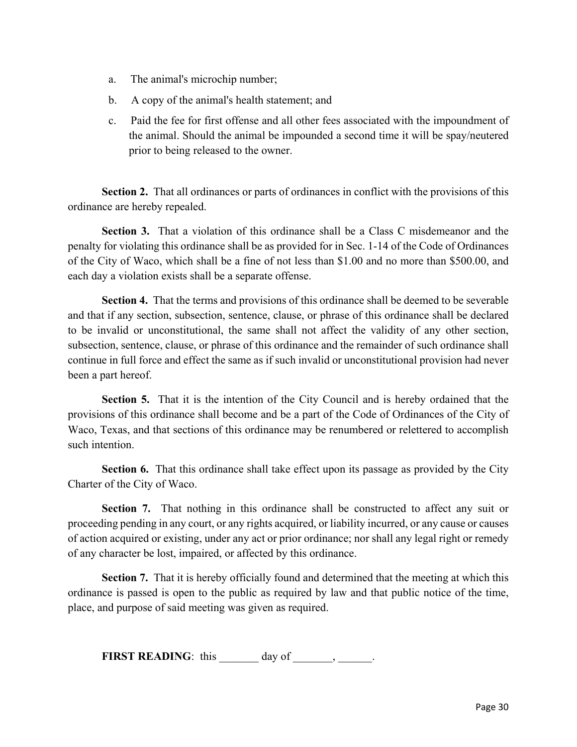- a. The animal's microchip number;
- b. A copy of the animal's health statement; and
- c. Paid the fee for first offense and all other fees associated with the impoundment of the animal. Should the animal be impounded a second time it will be spay/neutered prior to being released to the owner.

**Section 2.** That all ordinances or parts of ordinances in conflict with the provisions of this ordinance are hereby repealed.

**Section 3.** That a violation of this ordinance shall be a Class C misdemeanor and the penalty for violating this ordinance shall be as provided for in Sec. 1-14 of the Code of Ordinances of the City of Waco, which shall be a fine of not less than \$1.00 and no more than \$500.00, and each day a violation exists shall be a separate offense.

**Section 4.** That the terms and provisions of this ordinance shall be deemed to be severable and that if any section, subsection, sentence, clause, or phrase of this ordinance shall be declared to be invalid or unconstitutional, the same shall not affect the validity of any other section, subsection, sentence, clause, or phrase of this ordinance and the remainder of such ordinance shall continue in full force and effect the same as if such invalid or unconstitutional provision had never been a part hereof.

**Section 5.** That it is the intention of the City Council and is hereby ordained that the provisions of this ordinance shall become and be a part of the Code of Ordinances of the City of Waco, Texas, and that sections of this ordinance may be renumbered or relettered to accomplish such intention.

**Section 6.** That this ordinance shall take effect upon its passage as provided by the City Charter of the City of Waco.

**Section 7.** That nothing in this ordinance shall be constructed to affect any suit or proceeding pending in any court, or any rights acquired, or liability incurred, or any cause or causes of action acquired or existing, under any act or prior ordinance; nor shall any legal right or remedy of any character be lost, impaired, or affected by this ordinance.

**Section 7.** That it is hereby officially found and determined that the meeting at which this ordinance is passed is open to the public as required by law and that public notice of the time, place, and purpose of said meeting was given as required.

**FIRST READING**: this  $\qquad \qquad \text{day of} \qquad \qquad \text{and}$